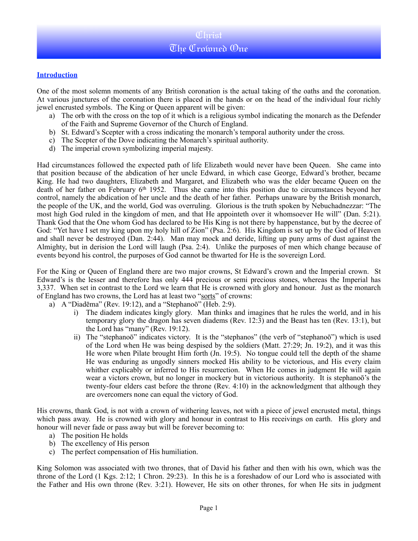### **Introduction**

One of the most solemn moments of any British coronation is the actual taking of the oaths and the coronation. At various junctures of the coronation there is placed in the hands or on the head of the individual four richly jewel encrusted symbols. The King or Queen apparent will be given:

- a) The orb with the cross on the top of it which is a religious symbol indicating the monarch as the Defender of the Faith and Supreme Governor of the Church of England.
- b) St. Edward's Scepter with a cross indicating the monarch's temporal authority under the cross.
- c) The Scepter of the Dove indicating the Monarch's spiritual authority.
- d) The imperial crown symbolizing imperial majesty.

Had circumstances followed the expected path of life Elizabeth would never have been Queen. She came into that position because of the abdication of her uncle Edward, in which case George, Edward's brother, became King. He had two daughters, Elizabeth and Margaret, and Elizabeth who was the elder became Queen on the death of her father on February 6th 1952. Thus she came into this position due to circumstances beyond her control, namely the abdication of her uncle and the death of her father. Perhaps unaware by the British monarch, the people of the UK, and the world, God was overruling. Glorious is the truth spoken by Nebuchadnezzar: "The most high God ruled in the kingdom of men, and that He appointeth over it whomsoever He will" (Dan. 5:21). Thank God that the One whom God has declared to be His King is not there by happenstance, but by the decree of God: "Yet have I set my king upon my holy hill of Zion" (Psa. 2:6). His Kingdom is set up by the God of Heaven and shall never be destroyed (Dan. 2:44). Man may mock and deride, lifting up puny arms of dust against the Almighty, but in derision the Lord will laugh (Psa. 2:4). Unlike the purposes of men which change because of events beyond his control, the purposes of God cannot be thwarted for He is the sovereign Lord.

For the King or Queen of England there are two major crowns, St Edward's crown and the Imperial crown. St Edward's is the lesser and therefore has only 444 precious or semi precious stones, whereas the Imperial has 3,337. When set in contrast to the Lord we learn that He is crowned with glory and honour. Just as the monarch of England has two crowns, the Lord has at least two "sorts" of crowns:

- a) A "Diadēma" (Rev. 19:12), and a "Stephanoō" (Heb. 2:9).
	- i) The diadem indicates kingly glory. Man thinks and imagines that he rules the world, and in his temporary glory the dragon has seven diadems (Rev. 12:3) and the Beast has ten (Rev. 13:1), but the Lord has "many" (Rev. 19:12).
	- ii) The "stephanoō" indicates victory. It is the "stephanos" (the verb of "stephanoō") which is used of the Lord when He was being despised by the soldiers (Matt. 27:29; Jn. 19:2), and it was this He wore when Pilate brought Him forth (Jn. 19:5). No tongue could tell the depth of the shame He was enduring as ungodly sinners mocked His ability to be victorious, and His every claim whither explicably or inferred to His resurrection. When He comes in judgment He will again wear a victors crown, but no longer in mockery but in victorious authority. It is stephanoō's the twenty-four elders cast before the throne (Rev. 4:10) in the acknowledgment that although they are overcomers none can equal the victory of God.

His crowns, thank God, is not with a crown of withering leaves, not with a piece of jewel encrusted metal, things which pass away. He is crowned with glory and honour in contrast to His receivings on earth. His glory and honour will never fade or pass away but will be forever becoming to:

- a) The position He holds
- b) The excellency of His person
- c) The perfect compensation of His humiliation.

King Solomon was associated with two thrones, that of David his father and then with his own, which was the throne of the Lord (1 Kgs. 2:12; 1 Chron. 29:23). In this he is a foreshadow of our Lord who is associated with the Father and His own throne (Rev. 3:21). However, He sits on other thrones, for when He sits in judgment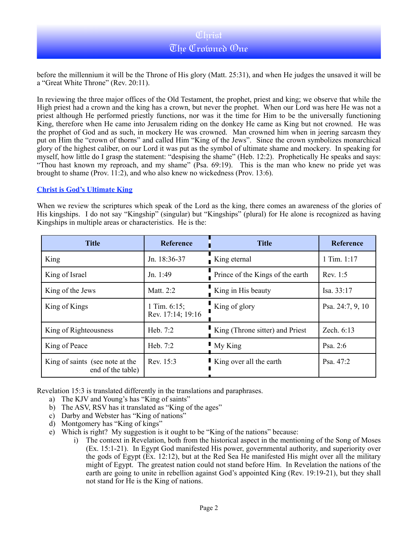before the millennium it will be the Throne of His glory (Matt. 25:31), and when He judges the unsaved it will be a "Great White Throne" (Rev. 20:11).

In reviewing the three major offices of the Old Testament, the prophet, priest and king; we observe that while the High priest had a crown and the king has a crown, but never the prophet. When our Lord was here He was not a priest although He performed priestly functions, nor was it the time for Him to be the universally functioning King, therefore when He came into Jerusalem riding on the donkey He came as King but not crowned. He was the prophet of God and as such, in mockery He was crowned. Man crowned him when in jeering sarcasm they put on Him the "crown of thorns" and called Him "King of the Jews". Since the crown symbolizes monarchical glory of the highest caliber, on our Lord it was put as the symbol of ultimate shame and mockery. In speaking for myself, how little do I grasp the statement: "despising the shame" (Heb. 12:2). Prophetically He speaks and says: "Thou hast known my reproach, and my shame" (Psa. 69:19). This is the man who knew no pride yet was brought to shame (Prov. 11:2), and who also knew no wickedness (Prov. 13:6).

#### **Christ is God's Ultimate King**

When we review the scriptures which speak of the Lord as the king, there comes an awareness of the glories of His kingships. I do not say "Kingship" (singular) but "Kingships" (plural) for He alone is recognized as having Kingships in multiple areas or characteristics. He is the:

| <b>Title</b>                                         | <b>Reference</b>                     | <b>Title</b>                     | Reference        |
|------------------------------------------------------|--------------------------------------|----------------------------------|------------------|
| King                                                 | Jn. 18:36-37                         | $\blacksquare$ King eternal      | 1 Tim. $1:17$    |
| King of Israel                                       | Jn. 1:49                             | Prince of the Kings of the earth | Rev. 1:5         |
| King of the Jews                                     | Matt. 2:2                            | King in His beauty               | Isa. 33:17       |
| King of Kings                                        | 1 Tim. $6:15$ ;<br>Rev. 17:14; 19:16 | King of glory                    | Psa. 24:7, 9, 10 |
| King of Righteousness                                | Heb. 7:2                             | King (Throne sitter) and Priest  | Zech. 6:13       |
| King of Peace                                        | Heb. 7:2                             | $\blacksquare$ My King           | Psa. 2:6         |
| King of saints (see note at the<br>end of the table) | Rev. 15:3                            | King over all the earth          | Psa. 47:2        |

Revelation 15:3 is translated differently in the translations and paraphrases.

- a) The KJV and Young's has "King of saints"
- b) The ASV, RSV has it translated as "King of the ages"
- c) Darby and Webster has "King of nations"
- d) Montgomery has "King of kings"
- e) Which is right? My suggestion is it ought to be "King of the nations" because:
	- i) The context in Revelation, both from the historical aspect in the mentioning of the Song of Moses (Ex. 15:1-21). In Egypt God manifested His power, governmental authority, and superiority over the gods of Egypt (Ex. 12:12), but at the Red Sea He manifested His might over all the military might of Egypt. The greatest nation could not stand before Him. In Revelation the nations of the earth are going to unite in rebellion against God's appointed King (Rev. 19:19-21), but they shall not stand for He is the King of nations.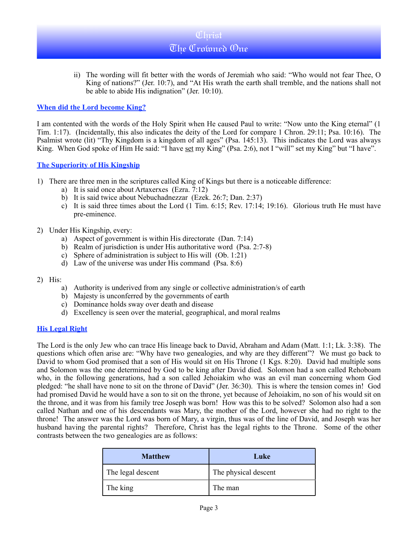ii) The wording will fit better with the words of Jeremiah who said: "Who would not fear Thee, O King of nations?" (Jer. 10:7), and "At His wrath the earth shall tremble, and the nations shall not be able to abide His indignation" (Jer. 10:10).

### **When did the Lord become King?**

I am contented with the words of the Holy Spirit when He caused Paul to write: "Now unto the King eternal" (1 Tim. 1:17). (Incidentally, this also indicates the deity of the Lord for compare 1 Chron. 29:11; Psa. 10:16). The Psalmist wrote (lit) "Thy Kingdom is a kingdom of all ages" (Psa. 145:13). This indicates the Lord was always King. When God spoke of Him He said: "I have set my King" (Psa. 2:6), not I "will" set my King" but "I have".

### **The Superiority of His Kingship**

- 1) There are three men in the scriptures called King of Kings but there is a noticeable difference:
	- a) It is said once about Artaxerxes (Ezra. 7:12)
	- b) It is said twice about Nebuchadnezzar (Ezek. 26:7; Dan. 2:37)
	- c) It is said three times about the Lord (1 Tim. 6:15; Rev. 17:14; 19:16). Glorious truth He must have pre-eminence.
- 2) Under His Kingship, every:
	- a) Aspect of government is within His directorate (Dan. 7:14)
	- b) Realm of jurisdiction is under His authoritative word (Psa. 2:7-8)
	- c) Sphere of administration is subject to His will (Ob. 1:21)
	- d) Law of the universe was under His command (Psa. 8:6)
- 2) His:
	- a) Authority is underived from any single or collective administration/s of earth
	- b) Majesty is unconferred by the governments of earth
	- c) Dominance holds sway over death and disease
	- d) Excellency is seen over the material, geographical, and moral realms

### **His Legal Right**

The Lord is the only Jew who can trace His lineage back to David, Abraham and Adam (Matt. 1:1; Lk. 3:38). The questions which often arise are: "Why have two genealogies, and why are they different"? We must go back to David to whom God promised that a son of His would sit on His Throne (1 Kgs. 8:20). David had multiple sons and Solomon was the one determined by God to be king after David died. Solomon had a son called Rehoboam who, in the following generations, had a son called Jehoiakim who was an evil man concerning whom God pledged: "he shall have none to sit on the throne of David" (Jer. 36:30). This is where the tension comes in! God had promised David he would have a son to sit on the throne, yet because of Jehoiakim, no son of his would sit on the throne, and it was from his family tree Joseph was born! How was this to be solved? Solomon also had a son called Nathan and one of his descendants was Mary, the mother of the Lord, however she had no right to the throne! The answer was the Lord was born of Mary, a virgin, thus was of the line of David, and Joseph was her husband having the parental rights? Therefore, Christ has the legal rights to the Throne. Some of the other contrasts between the two genealogies are as follows:

| <b>Matthew</b>    | Luke                 |
|-------------------|----------------------|
| The legal descent | The physical descent |
| The king          | The man              |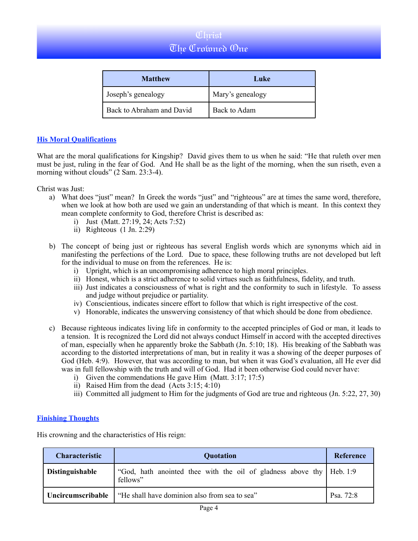| <b>Matthew</b>            | Luke             |
|---------------------------|------------------|
| Joseph's genealogy        | Mary's genealogy |
| Back to Abraham and David | Back to Adam     |

### **His Moral Qualifications**

What are the moral qualifications for Kingship? David gives them to us when he said: "He that ruleth over men must be just, ruling in the fear of God. And He shall be as the light of the morning, when the sun riseth, even a morning without clouds" (2 Sam. 23:3-4).

Christ was Just:

- a) What does "just" mean? In Greek the words "just" and "righteous" are at times the same word, therefore, when we look at how both are used we gain an understanding of that which is meant. In this context they mean complete conformity to God, therefore Christ is described as:
	- i) Just (Matt. 27:19, 24; Acts 7:52)
	- ii) Righteous (1 Jn. 2:29)
- b) The concept of being just or righteous has several English words which are synonyms which aid in manifesting the perfections of the Lord. Due to space, these following truths are not developed but left for the individual to muse on from the references. He is:
	- i) Upright, which is an uncompromising adherence to high moral principles.
	- ii) Honest, which is a strict adherence to solid virtues such as faithfulness, fidelity, and truth.
	- iii) Just indicates a consciousness of what is right and the conformity to such in lifestyle. To assess and judge without prejudice or partiality.
	- iv) Conscientious, indicates sincere effort to follow that which is right irrespective of the cost.
	- v) Honorable, indicates the unswerving consistency of that which should be done from obedience.
- c) Because righteous indicates living life in conformity to the accepted principles of God or man, it leads to a tension. It is recognized the Lord did not always conduct Himself in accord with the accepted directives of man, especially when he apparently broke the Sabbath (Jn. 5:10; 18). His breaking of the Sabbath was according to the distorted interpretations of man, but in reality it was a showing of the deeper purposes of God (Heb. 4:9). However, that was according to man, but when it was God's evaluation, all He ever did was in full fellowship with the truth and will of God. Had it been otherwise God could never have:
	- i) Given the commendations He gave Him (Matt. 3:17; 17:5)
	- ii) Raised Him from the dead (Acts 3:15; 4:10)
	- iii) Committed all judgment to Him for the judgments of God are true and righteous (Jn. 5:22, 27, 30)

### **Finishing Thoughts**

His crowning and the characteristics of His reign:

| <b>Characteristic</b>    | <b>Quotation</b>                                                                   | Reference |
|--------------------------|------------------------------------------------------------------------------------|-----------|
| Distinguishable          | "God, hath anointed thee with the oil of gladness above thy   Heb. 1:9<br>fellows" |           |
| <b>Uncircumscribable</b> | "He shall have dominion also from sea to sea"                                      | Psa. 72:8 |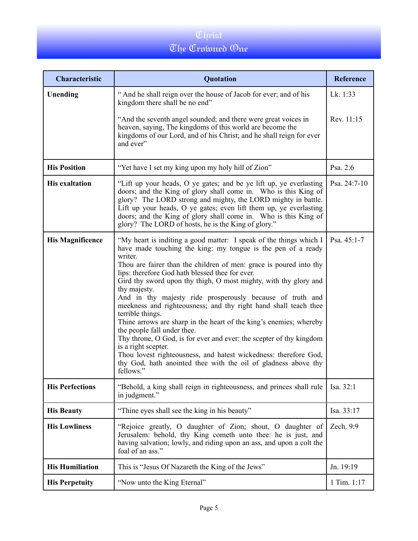| Characteristic          | Quotation                                                                                                                                                                                                                                                                                                                                                                                                                                                                                                                                                                                                                                                                                                                                                                                                                                                            | <b>Reference</b> |
|-------------------------|----------------------------------------------------------------------------------------------------------------------------------------------------------------------------------------------------------------------------------------------------------------------------------------------------------------------------------------------------------------------------------------------------------------------------------------------------------------------------------------------------------------------------------------------------------------------------------------------------------------------------------------------------------------------------------------------------------------------------------------------------------------------------------------------------------------------------------------------------------------------|------------------|
| Unending                | "And he shall reign over the house of Jacob for ever; and of his<br>kingdom there shall be no end"                                                                                                                                                                                                                                                                                                                                                                                                                                                                                                                                                                                                                                                                                                                                                                   | Lk. 1:33         |
|                         | "And the seventh angel sounded; and there were great voices in<br>heaven, saying, The kingdoms of this world are become the<br>kingdoms of our Lord, and of his Christ; and he shall reign for ever<br>and ever"                                                                                                                                                                                                                                                                                                                                                                                                                                                                                                                                                                                                                                                     | Rev. 11:15       |
| <b>His Position</b>     | "Yet have I set my king upon my holy hill of Zion"                                                                                                                                                                                                                                                                                                                                                                                                                                                                                                                                                                                                                                                                                                                                                                                                                   | Psa. 2:6         |
| <b>His exaltation</b>   | "Lift up your heads, O ye gates; and be ye lift up, ye everlasting<br>doors; and the King of glory shall come in. Who is this King of<br>glory? The LORD strong and mighty, the LORD mighty in battle.<br>Lift up your heads, O ye gates; even lift them up, ye everlasting<br>doors; and the King of glory shall come in. Who is this King of<br>glory? The LORD of hosts, he is the King of glory."                                                                                                                                                                                                                                                                                                                                                                                                                                                                | Psa. 24:7-10     |
| <b>His Magnificence</b> | "My heart is inditing a good matter: I speak of the things which I<br>have made touching the king: my tongue is the pen of a ready<br>writer.<br>Thou are fairer than the children of men: grace is poured into thy<br>lips: therefore God hath blessed thee for ever.<br>Gird thy sword upon thy thigh, O most mighty, with thy glory and<br>thy majesty.<br>And in thy majesty ride prosperously because of truth and<br>meekness and righteousness; and thy right hand shall teach thee<br>terrible things.<br>Thine arrows are sharp in the heart of the king's enemies; whereby<br>the people fall under thee.<br>Thy throne, O God, is for ever and ever: the scepter of thy kingdom<br>is a right scepter.<br>Thou lovest righteousness, and hatest wickedness: therefore God,<br>thy God, hath anointed thee with the oil of gladness above thy<br>fellows." | Psa. 45:1-7      |
| <b>His Perfections</b>  | "Behold, a king shall reign in righteousness, and princes shall rule<br>in judgment."                                                                                                                                                                                                                                                                                                                                                                                                                                                                                                                                                                                                                                                                                                                                                                                | Isa. 32:1        |
| <b>His Beauty</b>       | "Thine eyes shall see the king in his beauty"                                                                                                                                                                                                                                                                                                                                                                                                                                                                                                                                                                                                                                                                                                                                                                                                                        | Isa. 33:17       |
| <b>His Lowliness</b>    | "Rejoice greatly, O daughter of Zion; shout, O daughter of<br>Jerusalem: behold, thy King cometh unto thee: he is just, and<br>having salvation; lowly, and riding upon an ass, and upon a colt the<br>foal of an ass."                                                                                                                                                                                                                                                                                                                                                                                                                                                                                                                                                                                                                                              | Zech. 9:9        |
| <b>His Humiliation</b>  | This is "Jesus Of Nazareth the King of the Jews"                                                                                                                                                                                                                                                                                                                                                                                                                                                                                                                                                                                                                                                                                                                                                                                                                     | Jn. 19:19        |
| <b>His Perpetuity</b>   | "Now unto the King Eternal"                                                                                                                                                                                                                                                                                                                                                                                                                                                                                                                                                                                                                                                                                                                                                                                                                                          | 1 Tim. 1:17      |